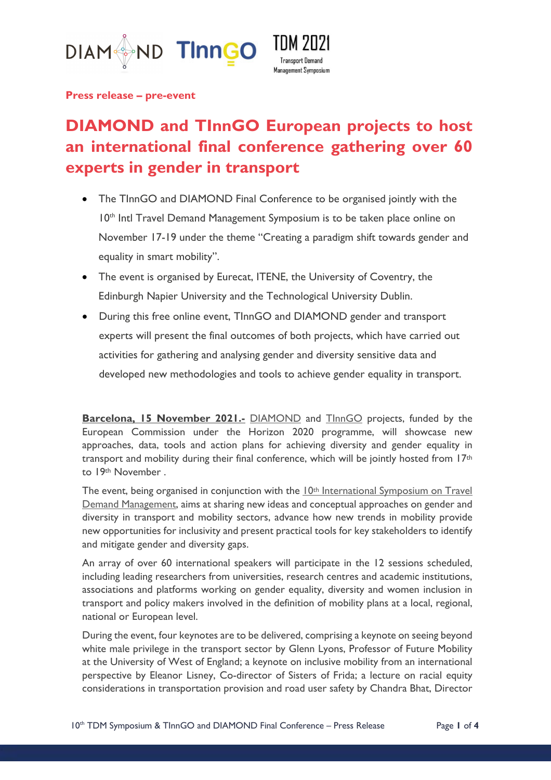



**Press release – pre-event**

# **DIAMOND and TInnGO European projects to host an international final conference gathering over 60 experts in gender in transport**

- The TInnGO and DIAMOND Final Conference to be organised jointly with the 10<sup>th</sup> Intl Travel Demand Management Symposium is to be taken place online on November 17-19 under the theme "Creating a paradigm shift towards gender and equality in smart mobility".
- The event is organised by Eurecat, ITENE, the University of Coventry, the Edinburgh Napier University and the Technological University Dublin.
- During this free online event, TInnGO and DIAMOND gender and transport experts will present the final outcomes of both projects, which have carried out activities for gathering and analysing gender and diversity sensitive data and developed new methodologies and tools to achieve gender equality in transport.

**Barcelona, 15 November 2021.-** DIAMOND and TInnGO projects, funded by the European Commission under the Horizon 2020 programme, will showcase new approaches, data, tools and action plans for achieving diversity and gender equality in transport and mobility during their final conference, which will be jointly hosted from 17<sup>th</sup> to 19th November .

The event, being organised in conjunction with the 10<sup>th</sup> International Symposium on Travel Demand Management, aims at sharing new ideas and conceptual approaches on gender and diversity in transport and mobility sectors, advance how new trends in mobility provide new opportunities for inclusivity and present practical tools for key stakeholders to identify and mitigate gender and diversity gaps.

An array of over 60 international speakers will participate in the 12 sessions scheduled, including leading researchers from universities, research centres and academic institutions, associations and platforms working on gender equality, diversity and women inclusion in transport and policy makers involved in the definition of mobility plans at a local, regional, national or European level.

During the event, four keynotes are to be delivered, comprising a keynote on seeing beyond white male privilege in the transport sector by Glenn Lyons, Professor of Future Mobility at the University of West of England; a keynote on inclusive mobility from an international perspective by Eleanor Lisney, Co-director of Sisters of Frida; a lecture on racial equity considerations in transportation provision and road user safety by Chandra Bhat, Director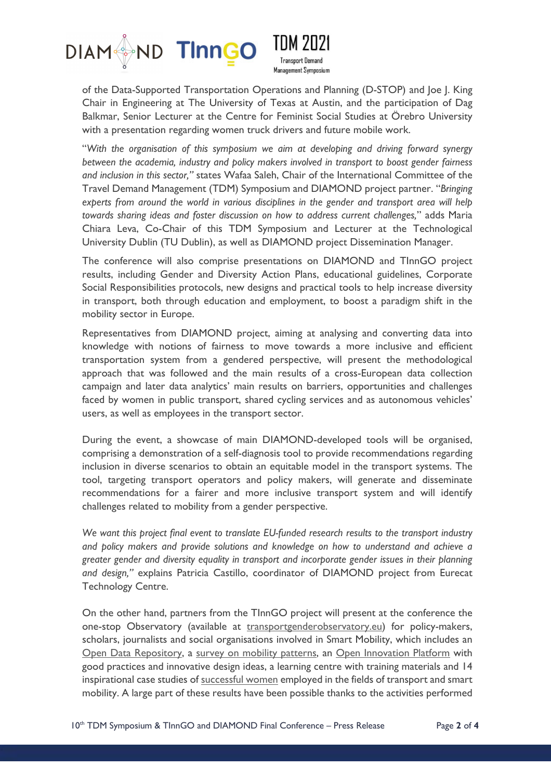

**Transnort Demand Management Symposium** 

of the Data-Supported Transportation Operations and Planning (D-STOP) and Joe J. King Chair in Engineering at The University of Texas at Austin, and the participation of Dag Balkmar, Senior Lecturer at the Centre for Feminist Social Studies at Örebro University with a presentation regarding women truck drivers and future mobile work.

"*With the organisation of this symposium we aim at developing and driving forward synergy between the academia, industry and policy makers involved in transport to boost gender fairness and inclusion in this sector,"* states Wafaa Saleh, Chair of the International Committee of the Travel Demand Management (TDM) Symposium and DIAMOND project partner. "*Bringing*  experts from around the world in various disciplines in the gender and transport area will help *towards sharing ideas and foster discussion on how to address current challenges,*" adds Maria Chiara Leva, Co-Chair of this TDM Symposium and Lecturer at the Technological University Dublin (TU Dublin), as well as DIAMOND project Dissemination Manager.

The conference will also comprise presentations on DIAMOND and TInnGO project results, including Gender and Diversity Action Plans, educational guidelines, Corporate Social Responsibilities protocols, new designs and practical tools to help increase diversity in transport, both through education and employment, to boost a paradigm shift in the mobility sector in Europe.

Representatives from DIAMOND project, aiming at analysing and converting data into knowledge with notions of fairness to move towards a more inclusive and efficient transportation system from a gendered perspective, will present the methodological approach that was followed and the main results of a cross-European data collection campaign and later data analytics' main results on barriers, opportunities and challenges faced by women in public transport, shared cycling services and as autonomous vehicles' users, as well as employees in the transport sector.

During the event, a showcase of main DIAMOND-developed tools will be organised, comprising a demonstration of a self-diagnosis tool to provide recommendations regarding inclusion in diverse scenarios to obtain an equitable model in the transport systems. The tool, targeting transport operators and policy makers, will generate and disseminate recommendations for a fairer and more inclusive transport system and will identify challenges related to mobility from a gender perspective.

*We want this project final event to translate EU-funded research results to the transport industry and policy makers and provide solutions and knowledge on how to understand and achieve a greater gender and diversity equality in transport and incorporate gender issues in their planning and design,"* explains Patricia Castillo, coordinator of DIAMOND project from Eurecat Technology Centre.

On the other hand, partners from the TInnGO project will present at the conference the one-stop Observatory (available at transportgenderobservatory.eu) for policy-makers, scholars, journalists and social organisations involved in Smart Mobility, which includes an Open Data Repository, a survey on mobility patterns, an Open Innovation Platform with good practices and innovative design ideas, a learning centre with training materials and 14 inspirational case studies of successful women employed in the fields of transport and smart mobility. A large part of these results have been possible thanks to the activities performed

10<sup>th</sup> TDM Symposium & TInnGO and DIAMOND Final Conference – Press Release Page 2 of 4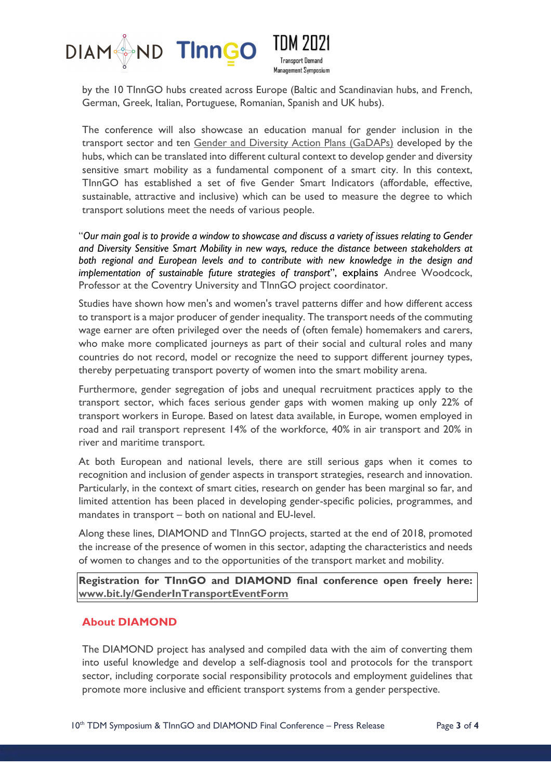



by the 10 TInnGO hubs created across Europe (Baltic and Scandinavian hubs, and French, German, Greek, Italian, Portuguese, Romanian, Spanish and UK hubs).

The conference will also showcase an education manual for gender inclusion in the transport sector and ten Gender and Diversity Action Plans (GaDAPs) developed by the hubs, which can be translated into different cultural context to develop gender and diversity sensitive smart mobility as a fundamental component of a smart city. In this context, TInnGO has established a set of five Gender Smart Indicators (affordable, effective, sustainable, attractive and inclusive) which can be used to measure the degree to which transport solutions meet the needs of various people.

"*Our main goal is to provide a window to showcase and discuss a variety of issues relating to Gender and Diversity Sensitive Smart Mobility in new ways, reduce the distance between stakeholders at both regional and European levels and to contribute with new knowledge in the design and implementation of sustainable future strategies of transport*", explains Andree Woodcock, Professor at the Coventry University and TInnGO project coordinator.

Studies have shown how men's and women's travel patterns differ and how different access to transport is a major producer of gender inequality. The transport needs of the commuting wage earner are often privileged over the needs of (often female) homemakers and carers, who make more complicated journeys as part of their social and cultural roles and many countries do not record, model or recognize the need to support different journey types, thereby perpetuating transport poverty of women into the smart mobility arena.

Furthermore, gender segregation of jobs and unequal recruitment practices apply to the transport sector, which faces serious gender gaps with women making up only 22% of transport workers in Europe. Based on latest data available, in Europe, women employed in road and rail transport represent 14% of the workforce, 40% in air transport and 20% in river and maritime transport.

At both European and national levels, there are still serious gaps when it comes to recognition and inclusion of gender aspects in transport strategies, research and innovation. Particularly, in the context of smart cities, research on gender has been marginal so far, and limited attention has been placed in developing gender-specific policies, programmes, and mandates in transport – both on national and EU-level.

Along these lines, DIAMOND and TInnGO projects, started at the end of 2018, promoted the increase of the presence of women in this sector, adapting the characteristics and needs of women to changes and to the opportunities of the transport market and mobility.

**Registration for TInnGO and DIAMOND final conference open freely here: www.bit.ly/GenderInTransportEventForm**

#### **About DIAMOND**

The DIAMOND project has analysed and compiled data with the aim of converting them into useful knowledge and develop a self-diagnosis tool and protocols for the transport sector, including corporate social responsibility protocols and employment guidelines that promote more inclusive and efficient transport systems from a gender perspective.